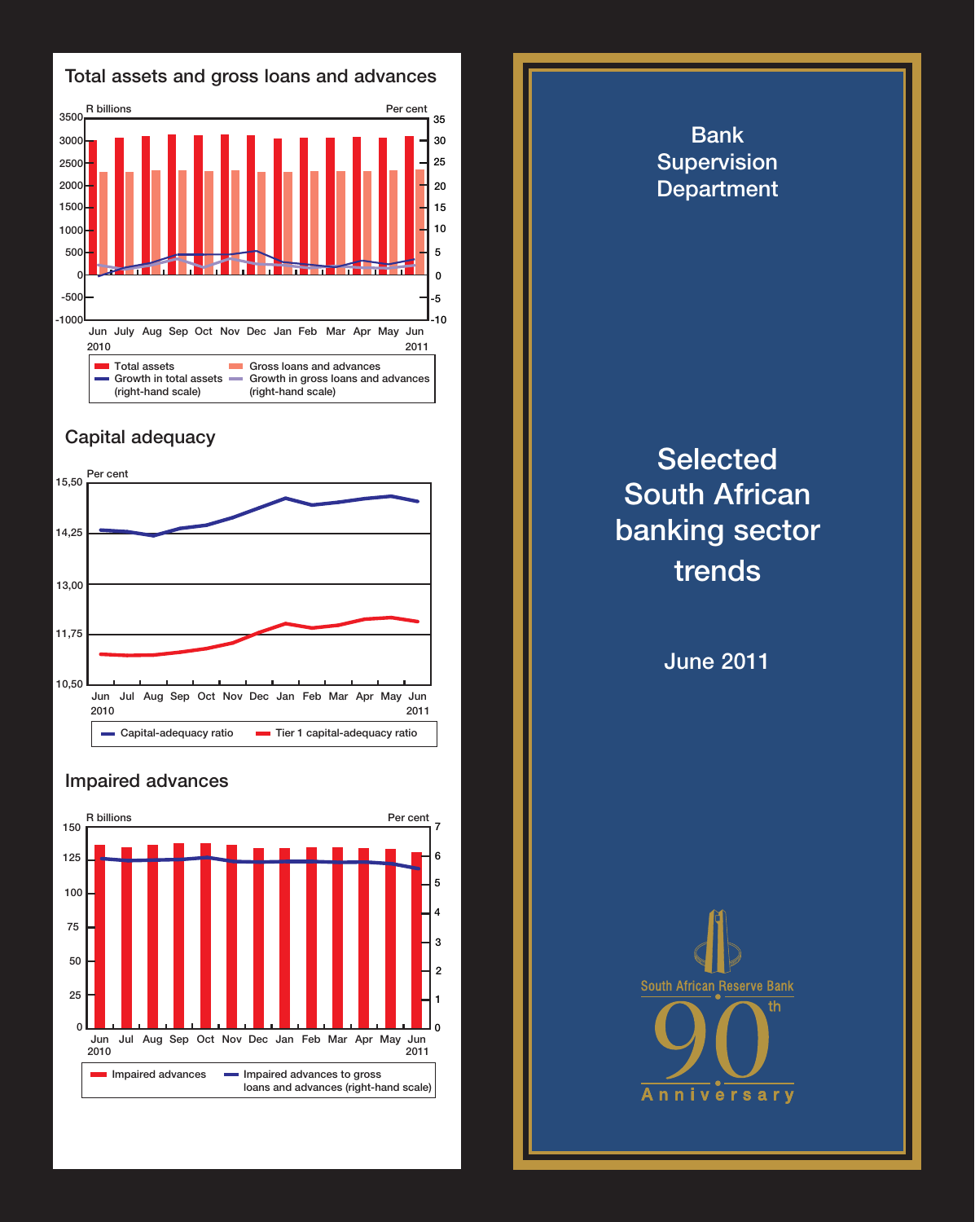



## **Capital adequacy**



## **Impaired advances**



**Bank Supervision Department Selected South African banking sector trends June 2011 South African Reserve Bank** Anni vers  $ar<sub>v</sub>$